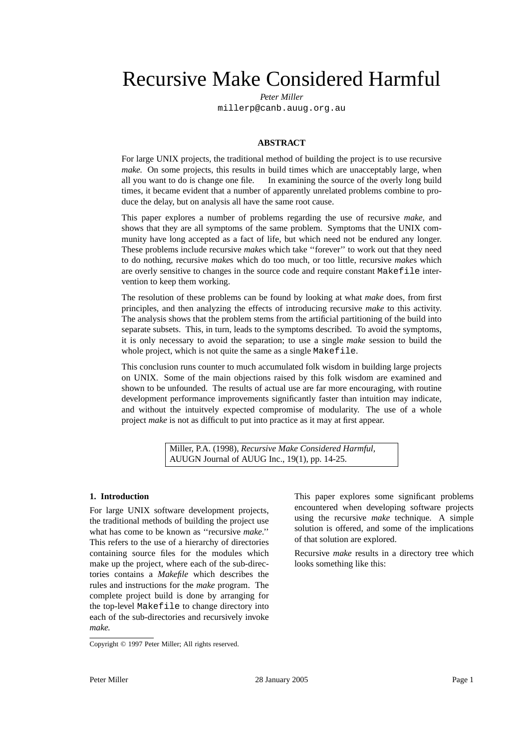Recursive Make Considered Harmful

*Peter Miller* millerp@canb.auug.org.au

#### **ABSTRACT**

For large UNIX projects, the traditional method of building the project is to use recursive *make.* On some projects, this results in build times which are unacceptably large, when all you want to do is change one file. In examining the source of the overly long build times, it became evident that a number of apparently unrelated problems combine to produce the delay, but on analysis all have the same root cause.

This paper explores a number of problems regarding the use of recursive *make,* and shows that they are all symptoms of the same problem. Symptoms that the UNIX community have long accepted as a fact of life, but which need not be endured any longer. These problems include recursive *make*s which take ''forever'' to work out that they need to do nothing, recursive *make*s which do too much, or too little, recursive *make*s which are overly sensitive to changes in the source code and require constant Makefile intervention to keep them working.

The resolution of these problems can be found by looking at what *make* does, from first principles, and then analyzing the effects of introducing recursive *make* to this activity. The analysis shows that the problem stems from the artificial partitioning of the build into separate subsets. This, in turn, leads to the symptoms described. To avoid the symptoms, it is only necessary to avoid the separation; to use a single *make* session to build the whole project, which is not quite the same as a single Makefile.

This conclusion runs counter to much accumulated folk wisdom in building large projects on UNIX. Some of the main objections raised by this folk wisdom are examined and shown to be unfounded. The results of actual use are far more encouraging, with routine development performance improvements significantly faster than intuition may indicate, and without the intuitvely expected compromise of modularity. The use of a whole project *make* is not as difficult to put into practice as it may at first appear.

> Miller, P.A. (1998), *Recursive Make Considered Harmful,* AUUGN Journal of AUUG Inc., 19(1), pp. 14-25.

#### **1. Introduction**

For large UNIX software development projects, the traditional methods of building the project use what has come to be known as ''recursive *make*.'' This refers to the use of a hierarchy of directories containing source files for the modules which make up the project, where each of the sub-directories contains a *Makefile* which describes the rules and instructions for the *make* program. The complete project build is done by arranging for the top-level Makefile to change directory into each of the sub-directories and recursively invoke *make.*

This paper explores some significant problems encountered when developing software projects using the recursive *make* technique. A simple solution is offered, and some of the implications of that solution are explored.

Recursive *make* results in a directory tree which looks something like this:

Copyright © 1997 Peter Miller; All rights reserved.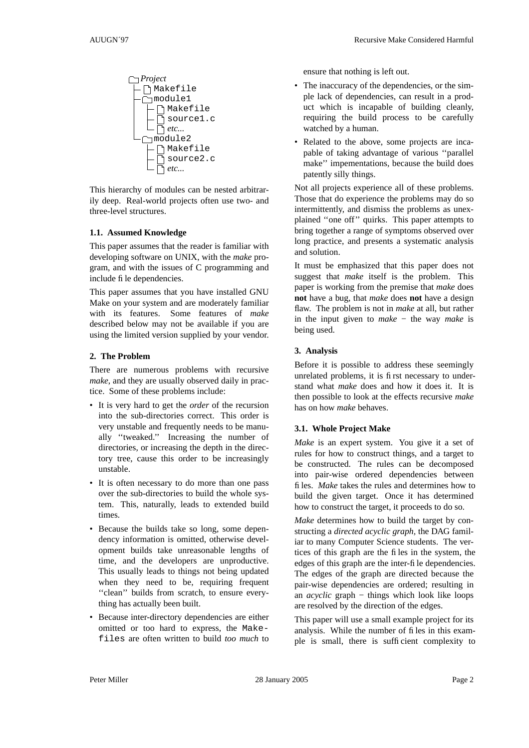

This hierarchy of modules can be nested arbitrarily deep. Real-world projects often use two- and three-level structures.

### **1.1. Assumed Knowledge**

This paper assumes that the reader is familiar with developing software on UNIX, with the *make* program, and with the issues of C programming and include file dependencies.

This paper assumes that you have installed GNU Make on your system and are moderately familiar with its features. Some features of *make* described below may not be available if you are using the limited version supplied by your vendor.

# **2. The Problem**

There are numerous problems with recursive *make*, and they are usually observed daily in practice. Some of these problems include:

- It is very hard to get the *order* of the recursion into the sub-directories correct. This order is very unstable and frequently needs to be manually ''tweaked.'' Increasing the number of directories, or increasing the depth in the directory tree, cause this order to be increasingly unstable.
- It is often necessary to do more than one pass over the sub-directories to build the whole system. This, naturally, leads to extended build times.
- Because the builds take so long, some dependency information is omitted, otherwise development builds take unreasonable lengths of time, and the developers are unproductive. This usually leads to things not being updated when they need to be, requiring frequent "clean" builds from scratch, to ensure everything has actually been built.
- Because inter-directory dependencies are either omitted or too hard to express, the Makefiles are often written to build *too much* to

ensure that nothing is left out.

- The inaccuracy of the dependencies, or the simple lack of dependencies, can result in a product which is incapable of building cleanly, requiring the build process to be carefully watched by a human.
- Related to the above, some projects are incapable of taking advantage of various ''parallel make'' impementations, because the build does patently silly things.

Not all projects experience all of these problems. Those that do experience the problems may do so intermittently, and dismiss the problems as unexplained ''one off'' quirks. This paper attempts to bring together a range of symptoms observed over long practice, and presents a systematic analysis and solution.

It must be emphasized that this paper does not suggest that *make* itself is the problem. This paper is working from the premise that *make* does **not** have a bug, that *make* does **not** have a design flaw. The problem is not in *make* at all, but rather in the input given to *make* − the way *make* is being used.

# **3. Analysis**

Before it is possible to address these seemingly unrelated problems, it is first necessary to understand what *make* does and how it does it. It is then possible to look at the effects recursive *make* has on how *make* behaves.

# **3.1. Whole Project Make**

*Make* is an expert system. You give it a set of rules for how to construct things, and a target to be constructed. The rules can be decomposed into pair-wise ordered dependencies between files. *Make* takes the rules and determines how to build the given target. Once it has determined how to construct the target, it proceeds to do so.

*Make* determines how to build the target by constructing a *directed acyclic graph,* the DAG familiar to many Computer Science students. The vertices of this graph are the files in the system, the edges of this graph are the inter-file dependencies. The edges of the graph are directed because the pair-wise dependencies are ordered; resulting in an *acyclic* graph − things which look like loops are resolved by the direction of the edges.

This paper will use a small example project for its analysis. While the number of files in this example is small, there is sufficient complexity to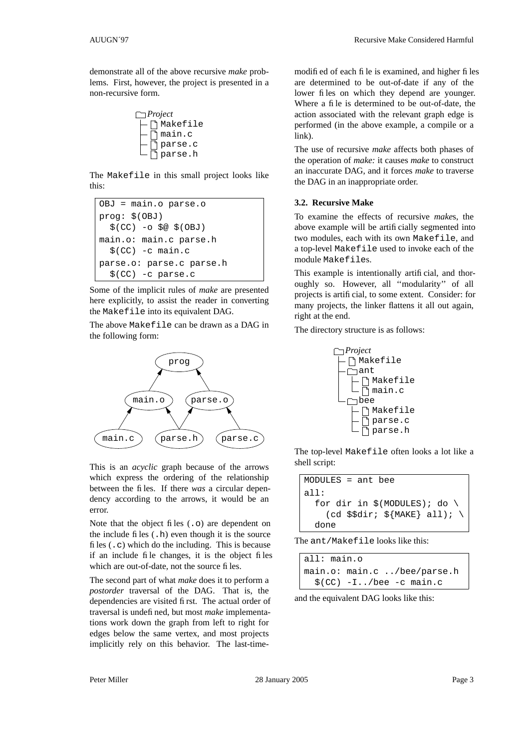demonstrate all of the above recursive *make* problems. First, however, the project is presented in a non-recursive form.



The Makefile in this small project looks like this:

```
OBJ = main.o parse.o
prog: $(OBJ)
  $(CC) -o $@ $(OBJ)
main.o: main.c parse.h
  $(CC) -c main.c
parse.o: parse.c parse.h
  $(CC) -c parse.c
```
Some of the implicit rules of *make* are presented here explicitly, to assist the reader in converting the Makefile into its equivalent DAG.

The above Makefile can be drawn as a DAG in the following form:



This is an *acyclic* graph because of the arrows which express the ordering of the relationship between the files. If there *was* a circular dependency according to the arrows, it would be an error.

Note that the object files  $(0, \infty)$  are dependent on the include files  $($ .h) even though it is the source files  $(.c)$  which do the including. This is because if an include file changes, it is the object files which are out-of-date, not the source files.

The second part of what *make* does it to perform a *postorder* traversal of the DAG. That is, the dependencies are visited first. The actual order of traversal is undefined, but most *make* implementations work down the graph from left to right for edges below the same vertex, and most projects implicitly rely on this behavior. The last-time-

modified of each file is examined, and higher files are determined to be out-of-date if any of the lower files on which they depend are younger. Where a file is determined to be out-of-date, the action associated with the relevant graph edge is performed (in the above example, a compile or a link).

The use of recursive *make* affects both phases of the operation of *make:* it causes *make* to construct an inaccurate DAG, and it forces *make* to traverse the DAG in an inappropriate order.

#### **3.2. Recursive Make**

To examine the effects of recursive *make*s, the above example will be artificially segmented into two modules, each with its own Makefile, and a top-level Makefile used to invoke each of the module Makefiles.

This example is intentionally artificial, and thoroughly so. However, all ''modularity'' of all projects is artificial, to some extent. Consider: for many projects, the linker flattens it all out again, right at the end.

The directory structure is as follows:



The top-level Makefile often looks a lot like a shell script:

```
MODULES = ant bee
all:
  for dir in $(MODULES); do \
    (cd \$5dir; \${MAKE} \ all); \ \ \done
```
The ant/Makefile looks like this:

all: main.o main.o: main.c ../bee/parse.h \$(CC) -I../bee -c main.c

and the equivalent DAG looks like this: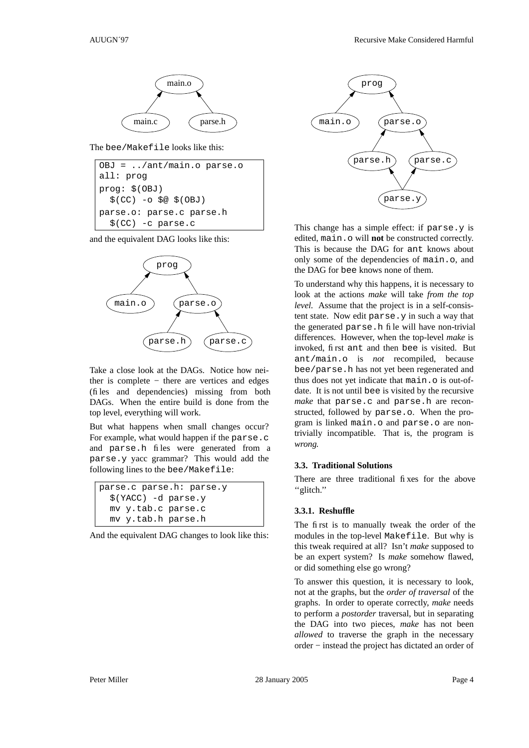

The bee/Makefile looks like this:

```
OBJ = ../ant/main.o parse.o
all: prog
prog: $(OBJ)
  $(CC) -o $@ $(OBJ)
parse.o: parse.c parse.h
  $(CC) -c parse.c
```
and the equivalent DAG looks like this:



Take a close look at the DAGs. Notice how neither is complete − there are vertices and edges (files and dependencies) missing from both DAGs. When the entire build is done from the top level, everything will work.

But what happens when small changes occur? For example, what would happen if the parse.c and parse.h files were generated from a parse.y yacc grammar? This would add the following lines to the bee/Makefile:

| parse.c parse.h: parse.y |
|--------------------------|
| $$ (YACC) -d parse.y$    |
| my y.tab.c parse.c       |
| my y.tab.h parse.h       |

And the equivalent DAG changes to look like this:



This change has a simple effect: if parse.y is edited, main.o will **not** be constructed correctly. This is because the DAG for ant knows about only some of the dependencies of main.o, and the DAG for bee knows none of them.

To understand why this happens, it is necessary to look at the actions *make* will take *from the top level.* Assume that the project is in a self-consistent state. Now edit parse.y in such a way that the generated parse.h file will have non-trivial differences. However, when the top-level *make* is invoked, first ant and then bee is visited. But ant/main.o is *not* recompiled, because bee/parse.h has not yet been regenerated and thus does not yet indicate that main.o is out-ofdate. It is not until bee is visited by the recursive make that parse.c and parse.h are reconstructed, followed by parse.o. When the program is linked main.o and parse.o are nontrivially incompatible. That is, the program is *wrong.*

### **3.3. Traditional Solutions**

There are three traditional fixes for the above ''glitch.''

#### **3.3.1. Reshuffle**

The first is to manually tweak the order of the modules in the top-level Makefile. But why is this tweak required at all? Isn't *make* supposed to be an expert system? Is *make* somehow flawed, or did something else go wrong?

To answer this question, it is necessary to look, not at the graphs, but the *order of traversal* of the graphs. In order to operate correctly, *make* needs to perform a *postorder* traversal, but in separating the DAG into two pieces, *make* has not been *allowed* to traverse the graph in the necessary order − instead the project has dictated an order of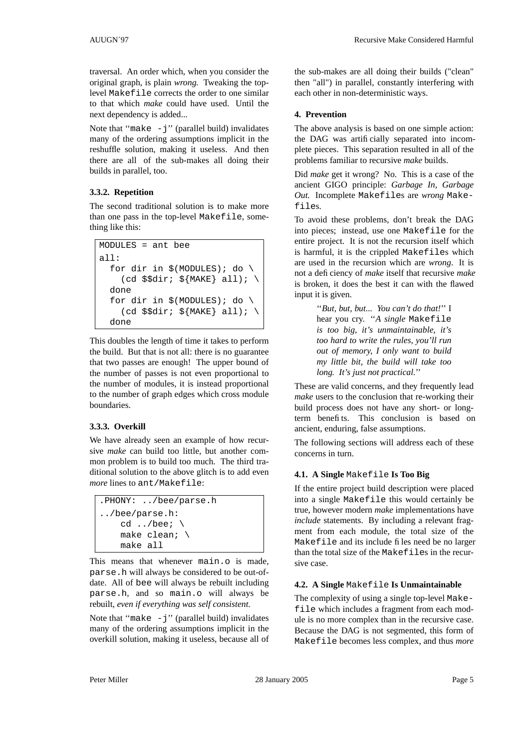traversal. An order which, when you consider the original graph, is plain *wrong.* Tweaking the toplevel Makefile corrects the order to one similar to that which *make* could have used. Until the next dependency is added...

Note that "make  $-j$ " (parallel build) invalidates many of the ordering assumptions implicit in the reshuffle solution, making it useless. And then there are all of the sub-makes all doing their builds in parallel, too.

# **3.3.2. Repetition**

The second traditional solution is to make more than one pass in the top-level Makefile, something like this:

```
MODULES = ant bee
all:
  for dir in $(MODULES); do \
    (cd \$dir; ${MAKE}} all); \
  done
  for dir in $ (MODULES); do \
    (cd \$dir; ${MAKE}} all); \
  done
```
This doubles the length of time it takes to perform the build. But that is not all: there is no guarantee that two passes are enough! The upper bound of the number of passes is not even proportional to the number of modules, it is instead proportional to the number of graph edges which cross module boundaries.

# **3.3.3. Overkill**

We have already seen an example of how recursive *make* can build too little, but another common problem is to build too much. The third traditional solution to the above glitch is to add even *more* lines to ant/Makefile:

```
.PHONY: ../bee/parse.h
../bee/parse.h:
    cd . /bee; \setminusmake clean; \
    make all
```
This means that whenever main, o is made. parse.h will always be considered to be out-ofdate. All of bee will always be rebuilt including parse.h, and so main.o will always be rebuilt, *even if everything was self consistent.*

Note that "make  $-j$ " (parallel build) invalidates many of the ordering assumptions implicit in the overkill solution, making it useless, because all of the sub-makes are all doing their builds ("clean" then "all") in parallel, constantly interfering with each other in non-deterministic ways.

# **4. Prevention**

The above analysis is based on one simple action: the DAG was artificially separated into incomplete pieces. This separation resulted in all of the problems familiar to recursive *make* builds.

Did *make* get it wrong? No. This is a case of the ancient GIGO principle: *Garbage In, Garbage Out.* Incomplete Makefiles are *wrong* Makefiles.

To avoid these problems, don't break the DAG into pieces; instead, use one Makefile for the entire project. It is not the recursion itself which is harmful, it is the crippled Makefiles which are used in the recursion which are *wrong*. It is not a deficiency of *make* itself that recursive *make* is broken, it does the best it can with the flawed input it is given.

> ''*But, but, but... You can't do that!*'' I hear you cry. ''*A single* Makefile *is too big, it's unmaintainable, it's too hard to write the rules, you'll run out of memory,Ionly want to build my little bit, the build will take too long. It's just not practical.*''

These are valid concerns, and they frequently lead *make* users to the conclusion that re-working their build process does not have any short- or longterm benefits. This conclusion is based on ancient, enduring, false assumptions.

The following sections will address each of these concerns in turn.

# **4.1. A Single** Makefile **Is Too Big**

If the entire project build description were placed into a single Makefile this would certainly be true, however modern *make* implementations have *include* statements. By including a relevant fragment from each module, the total size of the Makefile and its include files need be no larger than the total size of the Makefiles in the recursive case.

# **4.2. A Single** Makefile **Is Unmaintainable**

The complexity of using a single top-level Makefile which includes a fragment from each module is no more complex than in the recursive case. Because the DAG is not segmented, this form of Makefile becomes less complex, and thus *more*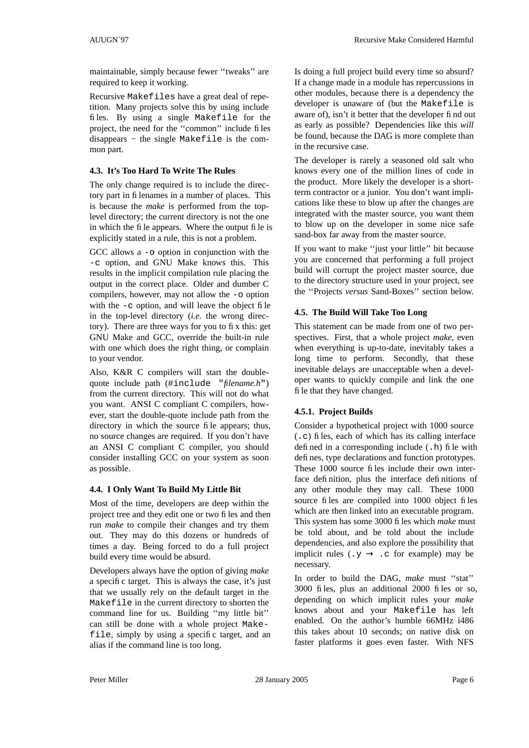maintainable, simply because fewer ''tweaks'' are required to keep it working.

Recursive Makefiles have a great deal of repetition. Many projects solve this by using include files. By using a single Makefile for the project, the need for the ''common'' include files disappears − the single Makefile is the common part.

### **4.3. It's Too Hard To Write The Rules**

The only change required is to include the directory part in filenames in a number of places. This is because the *make* is performed from the toplevel directory; the current directory is not the one in which the file appears. Where the output file is explicitly stated in a rule, this is not a problem.

GCC allows a -o option in conjunction with the -c option, and GNU Make knows this. This results in the implicit compilation rule placing the output in the correct place. Older and dumber C compilers, however, may not allow the -o option with the  $-c$  option, and will leave the object file in the top-level directory (*i.e.* the wrong directory). There are three ways for you to fix this: get GNU Make and GCC, override the built-in rule with one which does the right thing, or complain to your vendor.

Also, K&R C compilers will start the doublequote include path (#include "*filename.h*") from the current directory. This will not do what you want. ANSI C compliant C compilers, however, start the double-quote include path from the directory in which the source file appears; thus, no source changes are required. If you don't have an ANSI C compliant C compiler, you should consider installing GCC on your system as soon as possible.

### **4.4. I Only Want To Build My Little Bit**

Most of the time, developers are deep within the project tree and they edit one or two files and then run *make* to compile their changes and try them out. They may do this dozens or hundreds of times a day. Being forced to do a full project build every time would be absurd.

Developers always have the option of giving *make* a specific target. This is always the case, it's just that we usually rely on the default target in the Makefile in the current directory to shorten the command line for us. Building ''my little bit'' can still be done with a whole project Makefile, simply by using a specific target, and an alias if the command line is too long.

Is doing a full project build every time so absurd? If a change made in a module has repercussions in other modules, because there is a dependency the developer is unaware of (but the Makefile is aware of), isn't it better that the developer find out as early as possible? Dependencies like this *will* be found, because the DAG is more complete than in the recursive case.

The developer is rarely a seasoned old salt who knows every one of the million lines of code in the product. More likely the developer is a shortterm contractor or a junior. You don't want implications like these to blow up after the changes are integrated with the master source, you want them to blow up on the developer in some nice safe sand-box far away from the master source.

If you want to make ''just your little'' bit because you are concerned that performing a full project build will corrupt the project master source, due to the directory structure used in your project, see the ''Projects *versus* Sand-Boxes'' section below.

# **4.5. The Build Will Take Too Long**

This statement can be made from one of two perspectives. First, that a whole project *make*, even when everything is up-to-date, inevitably takes a long time to perform. Secondly, that these inevitable delays are unacceptable when a developer wants to quickly compile and link the one file that they have changed.

# **4.5.1. Project Builds**

Consider a hypothetical project with 1000 source (.c) files, each of which has its calling interface defined in a corresponding include (.h) file with defines, type declarations and function prototypes. These 1000 source files include their own interface definition, plus the interface definitions of any other module they may call. These 1000 source files are compiled into 1000 object files which are then linked into an executable program. This system has some 3000 files which *make* must be told about, and be told about the include dependencies, and also explore the possibility that implicit rules ( $.y \rightarrow .c$  for example) may be necessary.

In order to build the DAG, *make* must ''stat'' 3000 files, plus an additional 2000 files or so, depending on which implicit rules your *make* knows about and your Makefile has left enabled. On the author's humble 66MHz i486 this takes about 10 seconds; on native disk on faster platforms it goes even faster. With NFS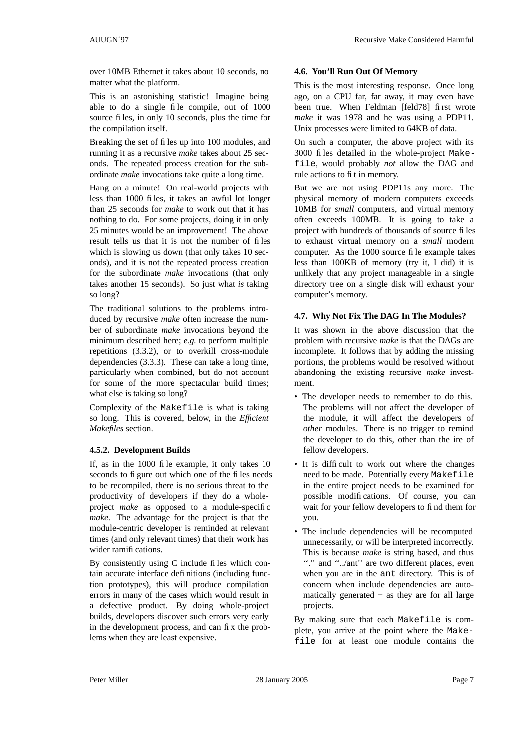over 10MB Ethernet it takes about 10 seconds, no matter what the platform.

This is an astonishing statistic! Imagine being able to do a single file compile, out of 1000 source files, in only 10 seconds, plus the time for the compilation itself.

Breaking the set of files up into 100 modules, and running it as a recursive *make* takes about 25 seconds. The repeated process creation for the subordinate *make* invocations take quite a long time.

Hang on a minute! On real-world projects with less than 1000 files, it takes an awful lot longer than 25 seconds for *make* to work out that it has nothing to do. For some projects, doing it in only 25 minutes would be an improvement! The above result tells us that it is not the number of files which is slowing us down (that only takes 10 seconds), and it is not the repeated process creation for the subordinate *make* invocations (that only takes another 15 seconds). So just what *is* taking so long?

The traditional solutions to the problems introduced by recursive *make* often increase the number of subordinate *make* invocations beyond the minimum described here; *e.g.* to perform multiple repetitions (3.3.2), or to overkill cross-module dependencies  $(3.3.3)$ . These can take a long time, particularly when combined, but do not account for some of the more spectacular build times; what else is taking so long?

Complexity of the Makefile is what is taking so long. This is covered, below, in the *Efficient Makefiles* section.

# **4.5.2. Development Builds**

If, as in the 1000 file example, it only takes 10 seconds to figure out which one of the files needs to be recompiled, there is no serious threat to the productivity of developers if they doawholeproject *make* as opposed to a module-specific *make*. The advantage for the project is that the module-centric developer is reminded at relevant times (and only relevant times) that their work has wider ramifications.

By consistently using C include files which contain accurate interface definitions (including function prototypes), this will produce compilation errors in many of the cases which would result in a defective product. By doing whole-project builds, developers discover such errors very early in the development process, and can fix the problems when they are least expensive.

### **4.6. You'll Run Out Of Memory**

This is the most interesting response. Once long ago, on a CPU far, far away, it may even have been true. When Feldman [feld78] first wrote *make* it was 1978 and he was using a PDP11. Unix processes were limited to 64KB of data.

On such a computer, the above project with its 3000 files detailed in the whole-project Makefile, would probably *not* allow the DAG and rule actions to fit in memory.

But we are not using PDP11s any more. The physical memory of modern computers exceeds 10MB for *small* computers, and virtual memory often exceeds 100MB. It is going to take a project with hundreds of thousands of source files to exhaust virtual memory on a *small* modern computer. As the 1000 source file example takes less than 100KB of memory (try it, I did) it is unlikely that any project manageable in a single directory tree on a single disk will exhaust your computer's memory.

# **4.7. Why Not Fix The DAG In The Modules?**

It was shown in the above discussion that the problem with recursive *make* is that the DAGs are incomplete. It follows that by adding the missing portions, the problems would be resolved without abandoning the existing recursive *make* investment.

- The developer needs to remember to do this. The problems will not affect the developer of the module, it will affect the developers of *other* modules. There is no trigger to remind the developer to do this, other than the ire of fellow developers.
- It is difficult to work out where the changes need to be made. Potentially every Makefile in the entire project needs to be examined for possible modifications. Of course, you can wait for your fellow developers to find them for you.
- The include dependencies will be recomputed unnecessarily, or will be interpreted incorrectly. This is because *make* is string based, and thus "." and "../ant" are two different places, even when you are in the ant directory. This is of concern when include dependencies are automatically generated − as they are for all large projects.

By making sure that each Makefile is complete, you arrive at the point where the Makefile for at least one module contains the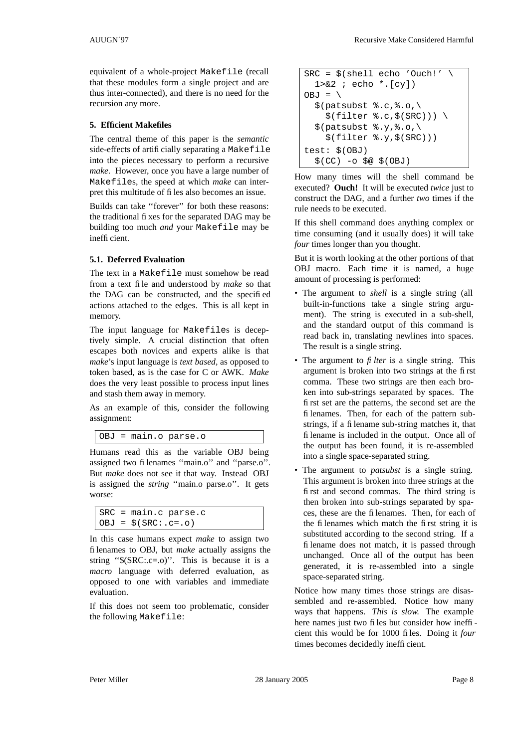equivalent of a whole-project Makefile (recall that these modules form a single project and are thus inter-connected), and there is no need for the recursion any more.

# **5. Efficient Makefiles**

The central theme of this paper is the *semantic* side-effects of artificially separating a Makefile into the pieces necessary to perform a recursive *make*. However, once you have a large number of Makefiles, the speed at which *make* can interpret this multitude of files also becomes an issue.

Builds can take ''forever'' for both these reasons: the traditional fixes for the separated DAG may be building too much *and* your Makefile may be inefficient.

# **5.1. Deferred Evaluation**

The text in a Makefile must somehow be read from a text file and understood by *make* so that the DAG can be constructed, and the specified actions attached to the edges. This is all kept in memory.

The input language for Makefiles is deceptively simple. A crucial distinction that often escapes both novices and experts alike is that *make*'s input language is *text based,* as opposed to token based, as is the case for C or AWK. *Make* does the very least possible to process input lines and stash them away in memory.

As an example of this, consider the following assignment:

```
OBJ = main.o parse.o
```
Humans read this as the variable OBJ being assigned two filenames ''main.o'' and ''parse.o''. But *make* does not see it that way. Instead OBJ is assigned the *string* ''main.o parse.o''. It gets worse:

```
SRC = main.c parse.c
OBJ = $ (SRC: .c=.0)
```
In this case humans expect *make* to assign two filenames to OBJ, but *make* actually assigns the string " $(SRC::c=.o)$ ". This is because it is a *macro* language with deferred evaluation, as opposed to one with variables and immediate evaluation.

If this does not seem too problematic, consider the following Makefile:

```
SRC = $(shell echo 'Ouch!')1 > \& 2 ; echo *. [cy])
OBJ = \setminus$(patsubst $.c,.0,
    $(filter %.c.) (SRC))) \
  $(patsubst $.y,.0,$(filter %.y,$(SRC)))
test: $(OBJ)
  $({\rm CC}) -\circ $@ $({\rm OBJ})$
```
How many times will the shell command be executed? **Ouch!** It will be executed *twice* just to construct the DAG, and a further *two* times if the rule needs to be executed.

If this shell command does anything complex or time consuming (and it usually does) it will take *four* times longer than you thought.

But it is worth looking at the other portions of that OBJ macro. Each time it is named, a huge amount of processing is performed:

- The argument to *shell* is a single string (all built-in-functions take a single string argument). The string is executed in a sub-shell, and the standard output of this command is read back in, translating newlines into spaces. The result is a single string.
- The argument to  $\hat{f}$  *lter* is a single string. This argument is broken into two strings at the first comma. These two strings are then each broken into sub-strings separated by spaces. The first set are the patterns, the second set are the filenames. Then, for each of the pattern substrings, if a filename sub-string matches it, that filename is included in the output. Once all of the output has been found, it is re-assembled into a single space-separated string.
- The argument to *patsubst* is a single string. This argument is broken into three strings at the first and second commas. The third string is then broken into sub-strings separated by spaces, these are the filenames. Then, for each of the filenames which match the first string it is substituted according to the second string. If a filename does not match, it is passed through unchanged. Once all of the output has been generated, it is re-assembled into a single space-separated string.

Notice how many times those strings are disassembled and re-assembled. Notice how many ways that happens. *This is slow.* The example here names just two files but consider how inefficient this would be for 1000 files. Doing it *four* times becomes decidedly inefficient.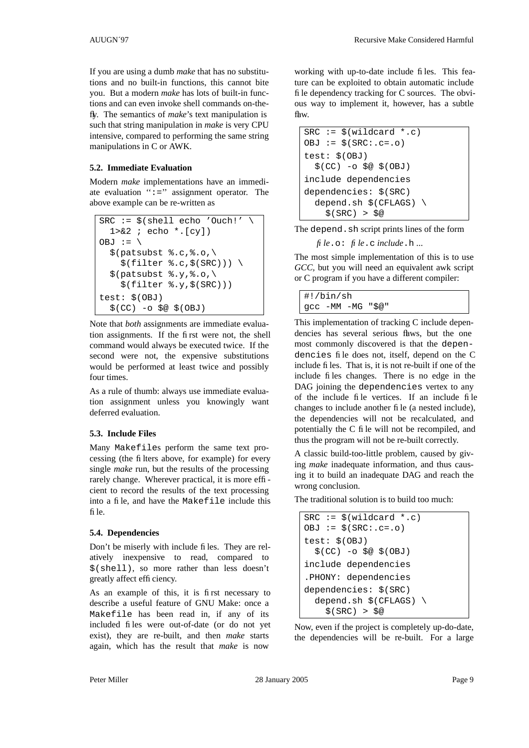If you are using a dumb *make* that has no substitutions and no built-in functions, this cannot bite you. But a modern *make* has lots of built-in functions and can even invoke shell commands on-thefly. The semantics of *make*'s text manipulation is such that string manipulation in *make* is very CPU intensive, compared to performing the same string manipulations in C or AWK.

### **5.2. Immediate Evaluation**

Modern *make* implementations have an immediate evaluation  $" :="$  assignment operator. The above example can be re-written as

```
SRC := $(shell echo 'ouch!')1 > 2 ; echo *. [cy])
OBJ := \setminus$(patsubst %.c,%.o,\
    $(filter %.c.) (\\$(patsubst %.y,%.o,\
    $(filter %.y,$(SRC)))
test: $(OBJ)
  $(CC) -o $@ $(OBJ)
```
Note that *both* assignments are immediate evaluation assignments. If the first were not, the shell command would always be executed twice. If the second were not, the expensive substitutions would be performed at least twice and possibly four times.

As a rule of thumb: always use immediate evaluation assignment unless you knowingly want deferred evaluation.

# **5.3. Include Files**

Many Makefiles perform the same text processing (the filters above, for example) for every single *make* run, but the results of the processing rarely change. Wherever practical, it is more efficient to record the results of the text processing into a file, and have the Makefile include this file.

### **5.4. Dependencies**

Don't be miserly with include files. They are relatively inexpensive to read, compared to \$(shell), so more rather than less doesn't greatly affect efficiency.

As an example of this, it is first necessary to describe a useful feature of GNU Make: once a Makefile has been read in, if any of its included files were out-of-date (or do not yet exist), they are re-built, and then *make* starts again, which has the result that *make* is now

working with up-to-date include files. This feature can be exploited to obtain automatic include file dependency tracking for C sources. The obvious way to implement it, however, has a subtle flaw.

 $SRC := S(wildcard * .c)$  $OBJ := $ (SRC: .c=.0)$ test: \$(OBJ)  $$({\rm CC}) -\circ $@ $({\rm OBJ})$$ include dependencies dependencies: \$(SRC) depend.sh \$(CFLAGS) \  $$(SRC) > $@$ 

The depend. sh script prints lines of the form

*file*.o: *file*.c *include*.h ...

The most simple implementation of this is to use *GCC,* but you will need an equivalent awk script or C program if you have a different compiler:

#!/bin/sh gcc -MM -MG "\$@"

This implementation of tracking C include dependencies has several serious flaws, but the one most commonly discovered is that the dependencies file does not, itself, depend on the C include files. That is, it is not re-built if one of the include files changes. There is no edge in the DAG joining the dependencies vertex to any of the include file vertices. If an include file changes to include another file (a nested include), the dependencies will not be recalculated, and potentially the C file will not be recompiled, and thus the program will not be re-built correctly.

A classic build-too-little problem, caused by giving *make* inadequate information, and thus causing it to build an inadequate DAG and reach the wrong conclusion.

The traditional solution is to build too much:

| $SRC := $(wildcard * .c)$          |
|------------------------------------|
| $OBJ := \$ (SRC: .c=.0)$           |
| $test:$ $$ (OBJ)$                  |
| $$(CC)$ -o $$@$(OBJ)$              |
| include dependencies               |
| .PHONY: dependencies               |
| dependencies: \$(SRC)              |
| depend.sh $$$ (CFLAGS) $\setminus$ |
| S(SRC) > S@                        |

Now, even if the project is completely up-do-date, the dependencies will be re-built. For a large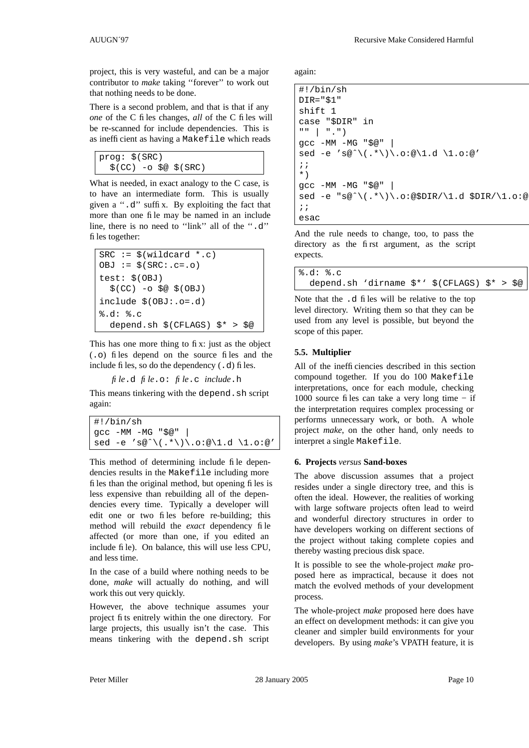project, this is very wasteful, and can be a major contributor to *make* taking ''forever'' to work out that nothing needs to be done.

There is a second problem, and that is that if any *one* of the C files changes, *all* of the C files will be re-scanned for include dependencies. This is as inefficient as having a Makefile which reads

```
prog: $(SRC)
  $(CC) -o $@ $(SRC)
```
What is needed, in exact analogy to the C case, is to have an intermediate form. This is usually givena''.d'' suffix. By exploiting the fact that more than one file may be named in an include line, there is no need to "link" all of the ".d" files together:

```
SRC := $(wildcard * .c)OBJ := $ (SRC: .c=.0)test: $(OBJ)
  $(CC) -o $@ $(OBJ)
include $(OBJ:.o=.d)
%.d: %.c
  depend.sh $(CFLAGS) $* > $@
```
This has one more thing to fix: just as the object (.o) files depend on the source files and the include files, so do the dependency (.d) files.

*file*.d *file*.o: *file*.c *include*.h

This means tinkering with the depend. sh script again:

| $ $ #!/bin/sh                      |  |  |  |  |  |  |
|------------------------------------|--|--|--|--|--|--|
| gcc -MM -MG "\$@"                  |  |  |  |  |  |  |
| sed -e 's@^\(.*\)\.o:@\1.d \1.o:@' |  |  |  |  |  |  |

This method of determining include file dependencies results in the Makefile including more files than the original method, but opening files is less expensive than rebuilding all of the dependencies every time. Typically a developer will edit one or two files before re-building; this method will rebuild the *exact* dependency file affected (or more than one, if you edited an include file). On balance, this will use less CPU, and less time.

In the case of a build where nothing needs to be done, *make* will actually do nothing, and will work this out very quickly.

However, the above technique assumes your project fits enitrely within the one directory. For large projects, this usually isn't the case. This means tinkering with the depend.sh script

AUUGN´97 Recursive Make Considered Harmful

again:

```
#!/bin/sh
DIR="$1"
shift 1
case "$DIR" in
"" | ".")
gcc -MM -MG "$@" |
sed -e 's@ˆ\(.*\)\.o:@\1.d \1.o:@'
;;
*)
gcc -MM -MG "$@" |
sed -e "s@^\(.*\)\.o:@$DIR/\1.d $DIR/\1.o:@
;;
esac
```
And the rule needs to change, too, to pass the directory as the first argument, as the script expects.

| 8.d: 8.c                                                                                         |  |  |  |
|--------------------------------------------------------------------------------------------------|--|--|--|
| depend.sh 'dirname $\frac{1}{2}$ '' $\frac{1}{2}$ (CFLAGS) $\frac{1}{2}$ > $\frac{1}{2}$ $\circ$ |  |  |  |

Note that the .d files will be relative to the top level directory. Writing them so that they can be used from any level is possible, but beyond the scope of this paper.

# **5.5. Multiplier**

All of the inefficiencies described in this section compound together. If you do 100 Makefile interpretations, once for each module, checking 1000 source files can take a very long time  $-$  if the interpretation requires complex processing or performs unnecessary work, or both. A whole project *make*, on the other hand, only needs to interpret a single Makefile.

### **6. Projects** *versus* **Sand-boxes**

The above discussion assumes that a project resides under a single directory tree, and this is often the ideal. However, the realities of working with large software projects often lead to weird and wonderful directory structures in order to have developers working on different sections of the project without taking complete copies and thereby wasting precious disk space.

It is possible to see the whole-project *make* proposed here as impractical, because it does not match the evolved methods of your development process.

The whole-project *make* proposed here does have an effect on development methods: it can give you cleaner and simpler build environments for your developers. By using *make*'s VPATH feature, it is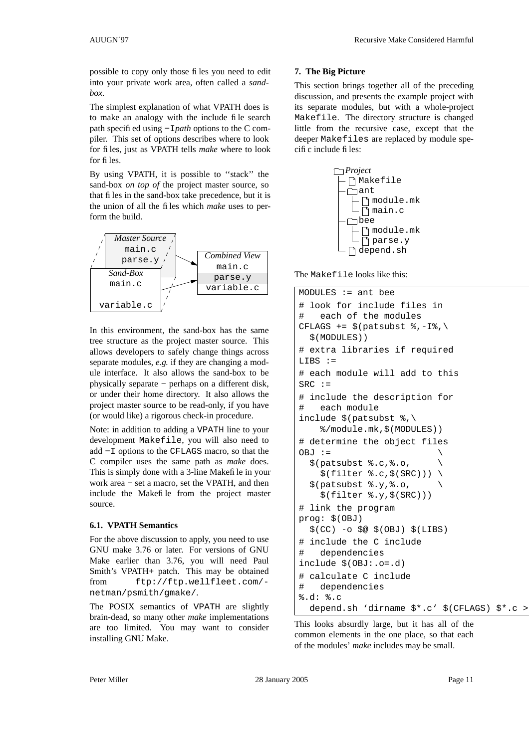possible to copy only those files you need to edit into your private work area, often called a *sandbox.*

The simplest explanation of what VPATH does is to make an analogy with the include file search path specified using −I*path* options to the C compiler. This set of options describes where to look for files, just as VPATH tells *make* where to look for files.

By using VPATH, it is possible to ''stack'' the sand-box *on top of* the project master source, so that files in the sand-box take precedence, but it is the union of all the files which *make* uses to perform the build.



In this environment, the sand-box has the same tree structure as the project master source. This allows developers to safely change things across separate modules, *e.g.* if they are changing a module interface. It also allows the sand-box to be physically separate − perhaps on a different disk, or under their home directory. It also allows the project master source to be read-only, if you have (or would like) a rigorous check-in procedure.

Note: in addition to adding a VPATH line to your development Makefile, you will also need to add −I options to the CFLAGS macro, so that the C compiler uses the same path as *make* does. This is simply done with a 3-line Makefile in your work area − set a macro, set the VPATH, and then include the Makefile from the project master source.

### **6.1. VPATH Semantics**

For the above discussion to apply, you need to use GNU make 3.76 or later. For versions of GNU Make earlier than 3.76, you will need Paul Smith's VPATH+ patch. This may be obtained from ftp://ftp.wellfleet.com/ netman/psmith/gmake/.

The POSIX semantics of VPATH are slightly brain-dead, so many other *make* implementations are too limited. You may want to consider installing GNU Make.

### **7. The Big Picture**

This section brings together all of the preceding discussion, and presents the example project with its separate modules, but with a whole-project Makefile. The directory structure is changed little from the recursive case, except that the deeper Makefiles are replaced by module specific include files:



The Makefile looks like this:

```
MODULES := ant bee
# look for include files in
# each of the modules
CFLAGS += $(patsubst %,-I\,
  $(MODULES))
# extra libraries if required
LIBS :=
# each module will add to this
SRC :=# include the description for
# each module
include $(patsubst %,
    %/module.mk,$(MODULES))
# determine the object files
OBJ :=$(patsubst %.c,%.o, \
    $(filter %.c.) (\\$(patsubst $.y,.0, \setminus$(filter %.y,$(SRC)))
# link the program
prog: $(OBJ)
  $(CC) -o $@ $(OBJ) $(LIBS)# include the C include
# dependencies
include $(OBJ:.o=.d)
# calculate C include
# dependencies
%.d: %.c
  depend.sh 'dirname $*.c' $(CFLAGS) $*.c >
```
This looks absurdly large, but it has all of the common elements in the one place, so that each of the modules' *make* includes may be small.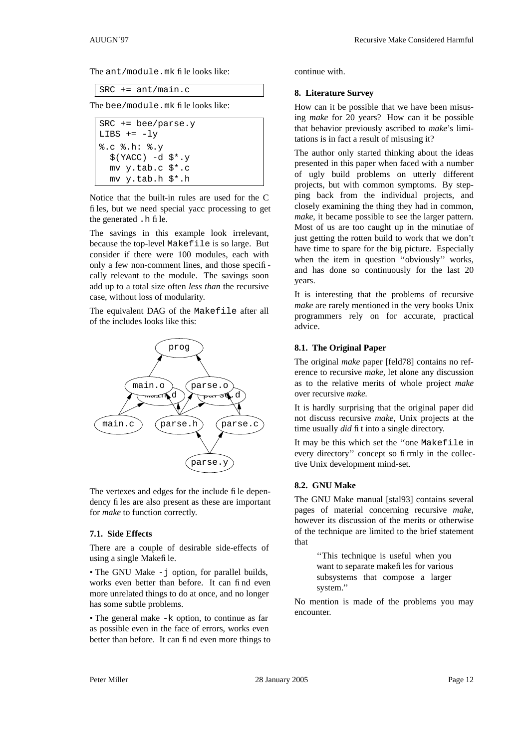The ant/module.mk file looks like:

SRC += ant/main.c

The bee/module.mk file looks like:

```
SRC += bee/parse.y
LIBS += -ly%.c %.h: %.y
  $YACC) -d $*.ymv y.tab.c $*.c
 mv y.tab.h $*.h
```
Notice that the built-in rules are used for the C files, but we need special yacc processing to get the generated .h file.

The savings in this example look irrelevant, because the top-level Makefile is so large. But consider if there were 100 modules, each with only a few non-comment lines, and those specifically relevant to the module. The savings soon add up to a total size often *less than* the recursive case, without loss of modularity.

The equivalent DAG of the Makefile after all of the includes looks like this:



The vertexes and edges for the include file dependency files are also present as these are important for *make* to function correctly.

#### **7.1. Side Effects**

There are a couple of desirable side-effects of using a single Makefile.

• The GNU Make - j option, for parallel builds, works even better than before. It can find even more unrelated things to do at once, and no longer has some subtle problems.

• The general make  $-k$  option, to continue as far as possible even in the face of errors, works even better than before. It can find even more things to continue with.

#### **8. Literature Survey**

How can it be possible that we have been misusing *make* for 20 years? How can it be possible that behavior previously ascribed to *make*'s limitations is in fact a result of misusing it?

The author only started thinking about the ideas presented in this paper when faced with a number of ugly build problems on utterly different projects, but with common symptoms. By stepping back from the individual projects, and closely examining the thing they had in common, *make*, it became possible to see the larger pattern. Most of us are too caught up in the minutiae of just getting the rotten build to work that we don't have time to spare for the big picture. Especially when the item in question ''obviously'' works, and has done so continuously for the last 20 years.

It is interesting that the problems of recursive *make* are rarely mentioned in the very books Unix programmers rely on for accurate, practical advice.

#### **8.1. The Original Paper**

The original *make* paper [feld78] contains no reference to recursive *make,* let alone any discussion as to the relative merits of whole project *make* over recursive *make.*

It is hardly surprising that the original paper did not discuss recursive *make*, Unix projects at the time usually *did* fit into a single directory.

It may be this which set the ''one Makefile in every directory" concept so firmly in the collective Unix development mind-set.

#### **8.2. GNU Make**

The GNU Make manual [stal93] contains several pages of material concerning recursive *make,* however its discussion of the merits or otherwise of the technique are limited to the brief statement that

> ''This technique is useful when you want to separate makefiles for various subsystems that compose a larger system.''

No mention is made of the problems you may encounter.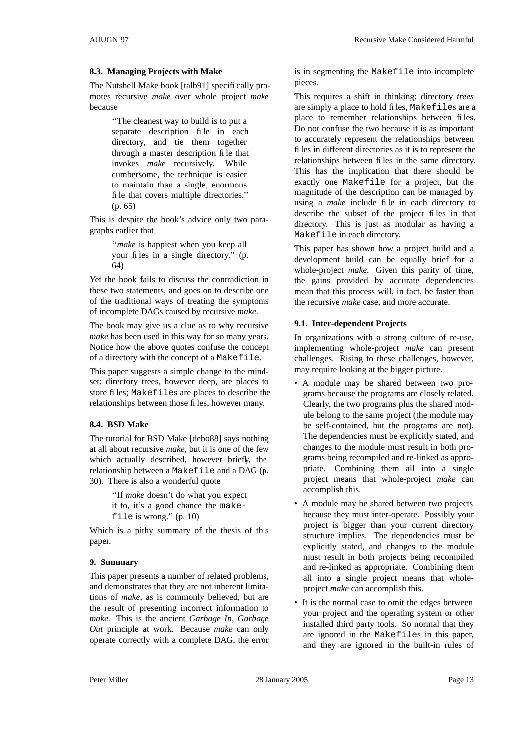### **8.3. Managing Projects with Make**

The Nutshell Make book [talb91] specifically promotes recursive *make* over whole project *make* because

> ''The cleanest way to build is to put a separate description file in each directory, and tie them together through a master description file that invokes *make* recursively. While cumbersome, the technique is easier to maintain than a single, enormous file that covers multiple directories.'' (p. 65)

This is despite the book's advice only two paragraphs earlier that

> ''*make* is happiest when you keep all your files in a single directory.'' (p. 64)

Yet the book fails to discuss the contradiction in these two statements, and goes on to describe one of the traditional ways of treating the symptoms of incomplete DAGs caused by recursive *make*.

The book may give us a clue as to why recursive *make* has been used in this way for so many years. Notice how the above quotes confuse the concept of a directory with the concept of a Makefile.

This paper suggests a simple change to the mindset: directory trees, however deep, are places to store files; Makefiles are places to describe the relationships between those files, however many.

### **8.4. BSD Make**

The tutorial for BSD Make [debo88] says nothing at all about recursive *make*, but it is one of the few which actually described, however briefly, the relationship between a Makefile and a DAG (p. 30). There is also a wonderful quote

> ''If *make* doesn't do what you expect it to, it's a good chance the makefile is wrong.'' (p. 10)

Which is a pithy summary of the thesis of this paper.

### **9. Summary**

This paper presents a number of related problems, and demonstrates that they are not inherent limitations of *make*, as is commonly believed, but are the result of presenting incorrect information to *make*. This is the ancient *Garbage In, Garbage Out* principle at work. Because *make* can only operate correctly with a complete DAG, the error

is in segmenting the Makefile into incomplete pieces.

This requires a shift in thinking: directory *trees* are simply a place to hold files, Makefiles are a place to remember relationships between files. Do not confuse the two because it is as important to accurately represent the relationships between files in different directories as it is to represent the relationships between files in the same directory. This has the implication that there should be exactly one Makefile for a project, but the magnitude of the description can be managed by using a *make* include file in each directory to describe the subset of the project files in that directory. This is just as modular as having a Makefile in each directory.

This paper has shown how a project build and a development build can be equally brief for a whole-project *make*. Given this parity of time, the gains provided by accurate dependencies mean that this process will, in fact, be faster than the recursive *make* case, and more accurate.

### **9.1. Inter-dependent Projects**

In organizations with a strong culture of re-use, implementing whole-project *make* can present challenges. Rising to these challenges, however, may require looking at the bigger picture.

- A module may be shared between two programs because the programs are closely related. Clearly, the two programs plus the shared module belong to the same project (the module may be self-contained, but the programs are not). The dependencies must be explicitly stated, and changes to the module must result in both programs being recompiled and re-linked as appropriate. Combining them all into a single project means that whole-project *make* can accomplish this.
- A module may be shared between two projects because they must inter-operate. Possibly your project is bigger than your current directory structure implies. The dependencies must be explicitly stated, and changes to the module must result in both projects being recompiled and re-linked as appropriate. Combining them all into a single project means that wholeproject *make* can accomplish this.
- It is the normal case to omit the edges between your project and the operating system or other installed third party tools. So normal that they are ignored in the Makefiles in this paper, and they are ignored in the built-in rules of